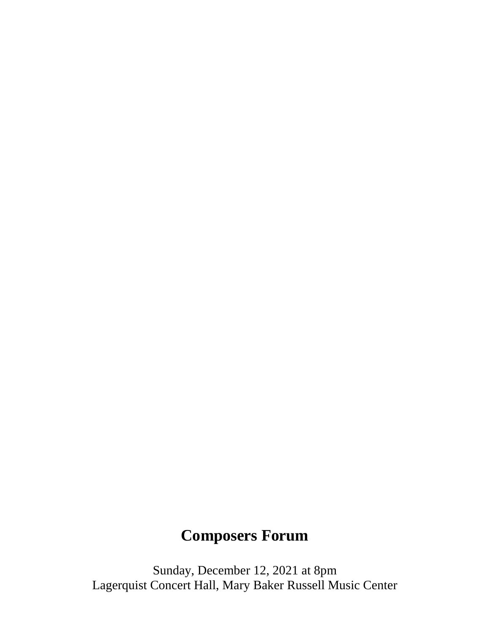## **Composers Forum**

Sunday, December 12, 2021 at 8pm Lagerquist Concert Hall, Mary Baker Russell Music Center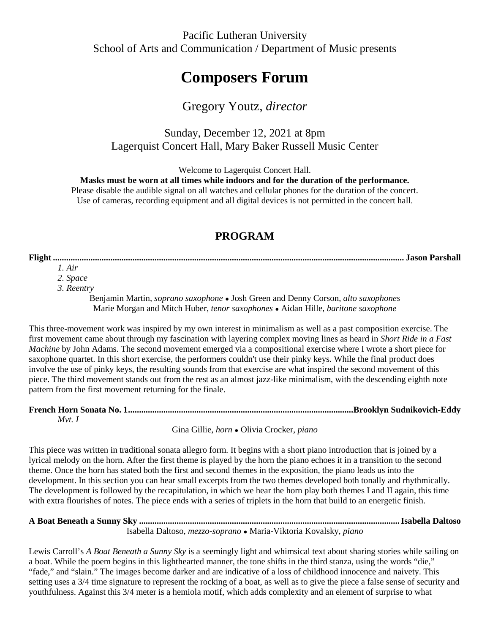## **Composers Forum**

## Gregory Youtz, *director*

Sunday, December 12, 2021 at 8pm Lagerquist Concert Hall, Mary Baker Russell Music Center

Welcome to Lagerquist Concert Hall.

**Masks must be worn at all times while indoors and for the duration of the performance.**

Please disable the audible signal on all watches and cellular phones for the duration of the concert. Use of cameras, recording equipment and all digital devices is not permitted in the concert hall.

## **PROGRAM**

**Flight ............................................................................................................................................................... Jason Parshall** *1. Air*

*2. Space*

*3. Reentry*

Benjamin Martin, *soprano saxophone ●* Josh Green and Denny Corson, *alto saxophones* Marie Morgan and Mitch Huber, *tenor saxophones ●* Aidan Hille, *baritone saxophone*

This three-movement work was inspired by my own interest in minimalism as well as a past composition exercise. The first movement came about through my fascination with layering complex moving lines as heard in *Short Ride in a Fast Machine* by John Adams. The second movement emerged via a compositional exercise where I wrote a short piece for saxophone quartet. In this short exercise, the performers couldn't use their pinky keys. While the final product does involve the use of pinky keys, the resulting sounds from that exercise are what inspired the second movement of this piece. The third movement stands out from the rest as an almost jazz-like minimalism, with the descending eighth note pattern from the first movement returning for the finale.

| Mvt. |  |
|------|--|

Gina Gillie, *horn ●* Olivia Crocker, *piano*

This piece was written in traditional sonata allegro form. It begins with a short piano introduction that is joined by a lyrical melody on the horn. After the first theme is played by the horn the piano echoes it in a transition to the second theme. Once the horn has stated both the first and second themes in the exposition, the piano leads us into the development. In this section you can hear small excerpts from the two themes developed both tonally and rhythmically. The development is followed by the recapitulation, in which we hear the horn play both themes I and II again, this time with extra flourishes of notes. The piece ends with a series of triplets in the horn that build to an energetic finish.

| Isabella Daltoso, <i>mezzo-soprano</i> • Maria-Viktoria Kovalsky, <i>piano</i> |  |
|--------------------------------------------------------------------------------|--|

Lewis Carroll's *A Boat Beneath a Sunny Sky* is a seemingly light and whimsical text about sharing stories while sailing on a boat. While the poem begins in this lighthearted manner, the tone shifts in the third stanza, using the words "die," "fade," and "slain." The images become darker and are indicative of a loss of childhood innocence and naivety. This setting uses a 3/4 time signature to represent the rocking of a boat, as well as to give the piece a false sense of security and youthfulness. Against this 3/4 meter is a hemiola motif, which adds complexity and an element of surprise to what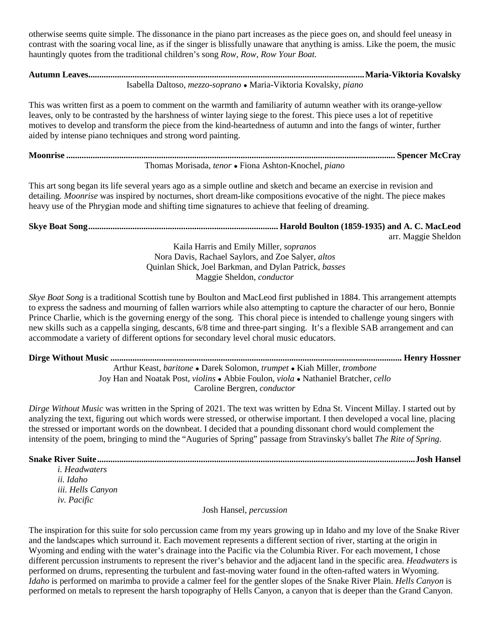otherwise seems quite simple. The dissonance in the piano part increases as the piece goes on, and should feel uneasy in contrast with the soaring vocal line, as if the singer is blissfully unaware that anything is amiss. Like the poem, the music hauntingly quotes from the traditional children's song *Row, Row, Row Your Boat.*

**Autumn Leaves.............................................................................................................................Maria-Viktoria Kovalsky** Isabella Daltoso, *mezzo-soprano ●* Maria-Viktoria Kovalsky, *piano*

This was written first as a poem to comment on the warmth and familiarity of autumn weather with its orange-yellow leaves, only to be contrasted by the harshness of winter laying siege to the forest. This piece uses a lot of repetitive motives to develop and transform the piece from the kind-heartedness of autumn and into the fangs of winter, further aided by intense piano techniques and strong word painting.

**Moonrise ..................................................................................................................................................... Spencer McCray** Thomas Morisada, *tenor ●* Fiona Ashton-Knochel, *piano*

This art song began its life several years ago as a simple outline and sketch and became an exercise in revision and detailing. *Moonrise* was inspired by nocturnes, short dream-like compositions evocative of the night. The piece makes heavy use of the Phrygian mode and shifting time signatures to achieve that feeling of dreaming.

**Skye Boat Song...................................................................................... Harold Boulton (1859-1935) and A. C. MacLeod** arr. Maggie Sheldon

> Kaila Harris and Emily Miller, *sopranos*  Nora Davis, Rachael Saylors, and Zoe Salyer, *altos* Quinlan Shick, Joel Barkman, and Dylan Patrick, *basses* Maggie Sheldon, *conductor*

*Skye Boat Song* is a traditional Scottish tune by Boulton and MacLeod first published in 1884. This arrangement attempts to express the sadness and mourning of fallen warriors while also attempting to capture the character of our hero, Bonnie Prince Charlie, which is the governing energy of the song. This choral piece is intended to challenge young singers with new skills such as a cappella singing, descants, 6/8 time and three-part singing. It's a flexible SAB arrangement and can accommodate a variety of different options for secondary level choral music educators.

**Dirge Without Music .................................................................................................................................... Henry Hossner**

Arthur Keast, *baritone ●* Darek Solomon, *trumpet ●* Kiah Miller, *trombone* Joy Han and Noatak Post, *violins ●* Abbie Foulon, *viola ●* Nathaniel Bratcher, *cello* Caroline Bergren, *conductor*

*Dirge Without Music* was written in the Spring of 2021. The text was written by Edna St. Vincent Millay. I started out by analyzing the text, figuring out which words were stressed, or otherwise important. I then developed a vocal line, placing the stressed or important words on the downbeat. I decided that a pounding dissonant chord would complement the intensity of the poem, bringing to mind the "Auguries of Spring" passage from Stravinsky's ballet *The Rite of Spring*.

**Snake River Suite................................................................................................................................................Josh Hansel**

*i. Headwaters ii. Idaho iii. Hells Canyon iv. Pacific*

Josh Hansel, *percussion*

The inspiration for this suite for solo percussion came from my years growing up in Idaho and my love of the Snake River and the landscapes which surround it. Each movement represents a different section of river, starting at the origin in Wyoming and ending with the water's drainage into the Pacific via the Columbia River. For each movement, I chose different percussion instruments to represent the river's behavior and the adjacent land in the specific area. *Headwaters* is performed on drums, representing the turbulent and fast-moving water found in the often-rafted waters in Wyoming. *Idaho* is performed on marimba to provide a calmer feel for the gentler slopes of the Snake River Plain. *Hells Canyon* is performed on metals to represent the harsh topography of Hells Canyon, a canyon that is deeper than the Grand Canyon.